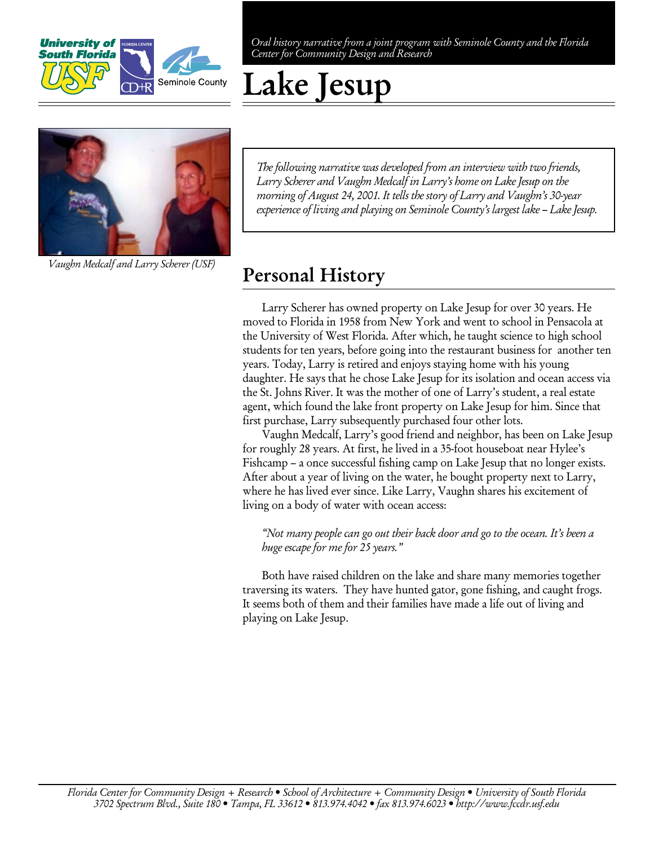

Oral history narrative from a joint program with Seminole County and the Florida Center for Community Design and Research

# Lake Jesup



Vaughn Medcalf and Larry Scherer (USF)

The following narrative was developed from an interview with two friends, Larry Scherer and Vaughn Medcalf in Larry's home on Lake Jesup on the morning of August 24, 2001. It tells the story of Larry and Vaughn's 30-year experience of living and playing on Seminole County's largest lake – Lake Jesup.

#### Personal History

Larry Scherer has owned property on Lake Jesup for over 30 years. He moved to Florida in 1958 from New York and went to school in Pensacola at the University of West Florida. After which, he taught science to high school students for ten years, before going into the restaurant business for another ten years. Today, Larry is retired and enjoys staying home with his young daughter. He says that he chose Lake Jesup for its isolation and ocean access via the St. Johns River. It was the mother of one of Larry's student, a real estate agent, which found the lake front property on Lake Jesup for him. Since that first purchase, Larry subsequently purchased four other lots.

Vaughn Medcalf, Larry's good friend and neighbor, has been on Lake Jesup for roughly 28 years. At first, he lived in a 35-foot houseboat near Hylee's Fishcamp – a once successful fishing camp on Lake Jesup that no longer exists. After about a year of living on the water, he bought property next to Larry, where he has lived ever since. Like Larry, Vaughn shares his excitement of living on a body of water with ocean access:

"Not many people can go out their back door and go to the ocean. It's been a huge escape for me for 25 years."

Both have raised children on the lake and share many memories together traversing its waters. They have hunted gator, gone fishing, and caught frogs. It seems both of them and their families have made a life out of living and playing on Lake Jesup.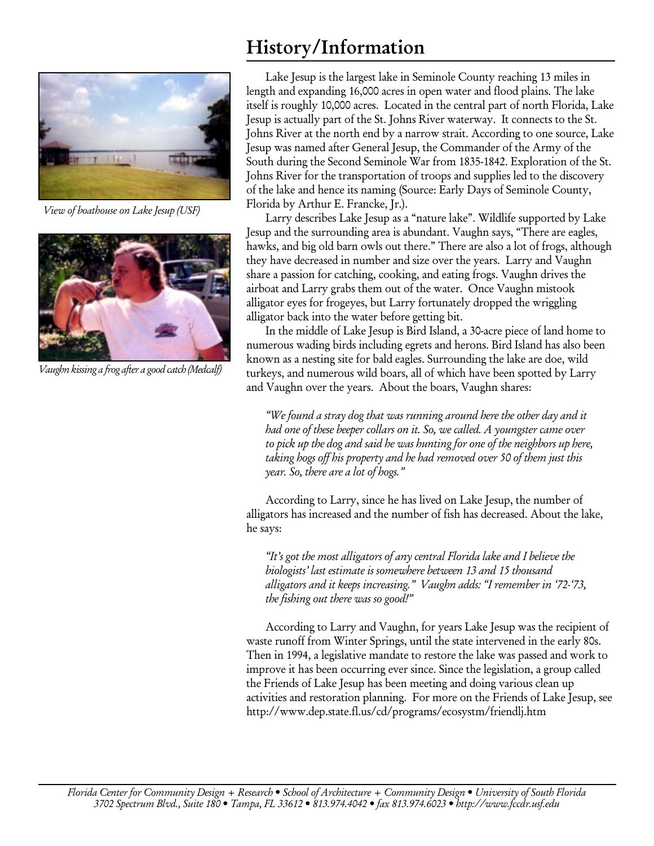

View of boathouse on Lake Jesup (USF)



Vaughn kissing a frog after a good catch (Medcalf)

## History/Information

Lake Jesup is the largest lake in Seminole County reaching 13 miles in length and expanding 16,000 acres in open water and flood plains. The lake itself is roughly 10,000 acres. Located in the central part of north Florida, Lake Jesup is actually part of the St. Johns River waterway. It connects to the St. Johns River at the north end by a narrow strait. According to one source, Lake Jesup was named after General Jesup, the Commander of the Army of the South during the Second Seminole War from 1835-1842. Exploration of the St. Johns River for the transportation of troops and supplies led to the discovery of the lake and hence its naming (Source: Early Days of Seminole County, Florida by Arthur E. Francke, Jr.).

Larry describes Lake Jesup as a "nature lake". Wildlife supported by Lake Jesup and the surrounding area is abundant. Vaughn says, "There are eagles, hawks, and big old barn owls out there." There are also a lot of frogs, although they have decreased in number and size over the years. Larry and Vaughn share a passion for catching, cooking, and eating frogs. Vaughn drives the airboat and Larry grabs them out of the water. Once Vaughn mistook alligator eyes for frogeyes, but Larry fortunately dropped the wriggling alligator back into the water before getting bit.

In the middle of Lake Jesup is Bird Island, a 30-acre piece of land home to numerous wading birds including egrets and herons. Bird Island has also been known as a nesting site for bald eagles. Surrounding the lake are doe, wild turkeys, and numerous wild boars, all of which have been spotted by Larry and Vaughn over the years. About the boars, Vaughn shares:

"We found a stray dog that was running around here the other day and it had one of these beeper collars on it. So, we called. A youngster came over to pick up the dog and said he was hunting for one of the neighbors up here, taking hogs off his property and he had removed over 50 of them just this year. So, there are a lot of hogs."

According to Larry, since he has lived on Lake Jesup, the number of alligators has increased and the number of fish has decreased. About the lake, he says:

"It's got the most alligators of any central Florida lake and I believe the biologists' last estimate is somewhere between 13 and 15 thousand alligators and it keeps increasing." Vaughn adds: "I remember in '72-'73, the fishing out there was so good!"

According to Larry and Vaughn, for years Lake Jesup was the recipient of waste runoff from Winter Springs, until the state intervened in the early 80s. Then in 1994, a legislative mandate to restore the lake was passed and work to improve it has been occurring ever since. Since the legislation, a group called the Friends of Lake Jesup has been meeting and doing various clean up activities and restoration planning. For more on the Friends of Lake Jesup, see http://www.dep.state.fl.us/cd/programs/ecosystm/friendlj.htm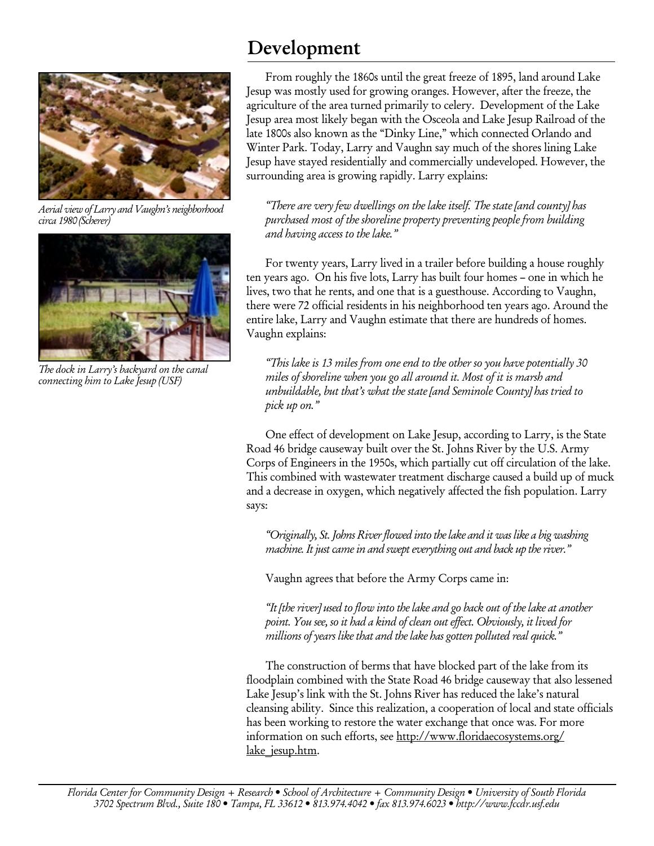

Aerial view of Larry and Vaughn's neighborhood circa 1980 (Scherer)



The dock in Larry's backyard on the canal connecting him to Lake Jesup (USF)

### Development

From roughly the 1860s until the great freeze of 1895, land around Lake Jesup was mostly used for growing oranges. However, after the freeze, the agriculture of the area turned primarily to celery. Development of the Lake Jesup area most likely began with the Osceola and Lake Jesup Railroad of the late 1800s also known as the "Dinky Line," which connected Orlando and Winter Park. Today, Larry and Vaughn say much of the shores lining Lake Jesup have stayed residentially and commercially undeveloped. However, the surrounding area is growing rapidly. Larry explains:

"There are very few dwellings on the lake itself. The state [and county] has purchased most of the shoreline property preventing people from building and having access to the lake."

For twenty years, Larry lived in a trailer before building a house roughly ten years ago. On his five lots, Larry has built four homes – one in which he lives, two that he rents, and one that is a guesthouse. According to Vaughn, there were 72 official residents in his neighborhood ten years ago. Around the entire lake, Larry and Vaughn estimate that there are hundreds of homes. Vaughn explains:

"This lake is 13 miles from one end to the other so you have potentially 30 miles of shoreline when you go all around it. Most of it is marsh and unbuildable, but that's what the state [and Seminole County] has tried to pick up on."

One effect of development on Lake Jesup, according to Larry, is the State Road 46 bridge causeway built over the St. Johns River by the U.S. Army Corps of Engineers in the 1950s, which partially cut off circulation of the lake. This combined with wastewater treatment discharge caused a build up of muck and a decrease in oxygen, which negatively affected the fish population. Larry says:

"Originally, St. Johns River flowed into the lake and it was like a big washing machine. It just came in and swept everything out and back up the river."

Vaughn agrees that before the Army Corps came in:

"It [the river] used to flow into the lake and go back out of the lake at another point. You see, so it had a kind of clean out effect. Obviously, it lived for millions of years like that and the lake has gotten polluted real quick."

The construction of berms that have blocked part of the lake from its floodplain combined with the State Road 46 bridge causeway that also lessened Lake Jesup's link with the St. Johns River has reduced the lake's natural cleansing ability. Since this realization, a cooperation of local and state officials has been working to restore the water exchange that once was. For more information on such efforts, see http://www.floridaecosystems.org/ lake jesup.htm.